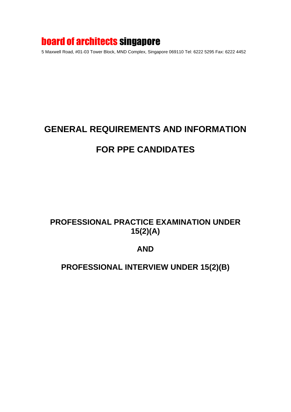# board of architects singapore

5 Maxwell Road, #01-03 Tower Block, MND Complex, Singapore 069110 Tel: 6222 5295 Fax: 6222 4452

# **GENERAL REQUIREMENTS AND INFORMATION**

# **FOR PPE CANDIDATES**

# **PROFESSIONAL PRACTICE EXAMINATION UNDER 15(2)(A)**

# **AND**

# **PROFESSIONAL INTERVIEW UNDER 15(2)(B)**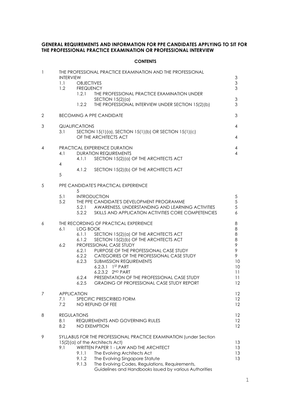#### **GENERAL REQUIREMENTS AND INFORMATION FOR PPE CANDIDATES APPLYING TO SIT FOR THE PROFESSIONAL PRACTICE EXAMINATION OR PROFESSIONAL INTERVIEW**

## **CONTENTS**

| $\mathbf{1}$   | <b>INTERVIEW</b><br>1.1<br>1.2   | THE PROFESSIONAL PRACTICE EXAMINATION AND THE PROFESSIONAL<br><b>OBJECTIVES</b><br><b>FREQUENCY</b><br>1.2.1<br>THE PROFESSIONAL PRACTICE EXAMINATION UNDER<br>SECTION 15(2)(a)<br>1.2.2<br>THE PROFESSIONAL INTERVIEW UNDER SECTION 15(2)(b)                                                                                                                                                                                                                                                        | $\ensuremath{\mathsf{3}}$<br>3<br>3<br>$\ensuremath{\mathsf{3}}$<br>3 |
|----------------|----------------------------------|------------------------------------------------------------------------------------------------------------------------------------------------------------------------------------------------------------------------------------------------------------------------------------------------------------------------------------------------------------------------------------------------------------------------------------------------------------------------------------------------------|-----------------------------------------------------------------------|
| $\overline{2}$ |                                  | <b>BECOMING A PPE CANDIDATE</b>                                                                                                                                                                                                                                                                                                                                                                                                                                                                      | $\mathfrak{Z}$                                                        |
| 3              | 3.1                              | <b>QUALIFICATIONS</b><br>SECTION 15(1)(a), SECTION 15(1)(b) OR SECTION 15(1)(c)<br>OF THE ARCHITECTS ACT                                                                                                                                                                                                                                                                                                                                                                                             | $\overline{4}$<br>$\overline{4}$                                      |
| 4              | 4.1<br>$\overline{4}$<br>5       | PRACTICAL EXPERIENCE DURATION<br><b>DURATION REQUIREMENTS</b><br>4.1.1<br>SECTION 15(2)(a) OF THE ARCHITECTS ACT<br>4.1.2<br>SECTION 15(2) (b) OF THE ARCHITECTS ACT                                                                                                                                                                                                                                                                                                                                 | 4<br>$\overline{4}$                                                   |
| 5              | 5.1<br>5.2                       | PPE CANDIDATE'S PRACTICAL EXPERIENCE<br>5<br><b>INTRODUCTION</b><br>THE PPE CANDIDATE'S DEVELOPMENT PROGRAMME<br>5.2.1<br>AWARENESS, UNDERSTANDING AND LEARNING ACTIVITIES<br>5.2.2<br>SKILLS AND APPLICATION ACTIVITIES CORE COMPETENCIES                                                                                                                                                                                                                                                           | $\sqrt{5}$<br>$\sqrt{5}$<br>5<br>6                                    |
| 6              | 6.1<br>6.2                       | THE RECORDING OF PRACTICAL EXPERIENCE<br>LOG BOOK<br>6.1.1<br>SECTION 15(2)(a) OF THE ARCHITECTS ACT<br>SECTION 15(2) (b) OF THE ARCHITECTS ACT<br>6.1.2<br>PROFESSIONAL CASE STUDY<br>6.2.1<br>PURPOSE OF THE PROFESSIONAL CASE STUDY<br>6.2.2<br>CATEGORIES OF THE PROFESSIONAL CASE STUDY<br>6.2.3<br><b>SUBMISSION REQUIREMENTS</b><br>6.2.3.1 1ST PART<br>6.2.3.2 2ND PART<br>6.2.4<br>PRESENTATION OF THE PROFESSIONAL CASE STUDY<br>6.2.5<br><b>GRADING OF PROFESSIONAL CASE STUDY REPORT</b> | 8<br>8<br>8<br>$\,8\,$<br>9<br>9<br>9<br>10<br>10<br>11<br>11<br>12   |
| 7              | <b>APPLICATION</b><br>7.1<br>7.2 | SPECIFIC PRESCRIBED FORM<br>NO REFUND OF FEE                                                                                                                                                                                                                                                                                                                                                                                                                                                         | 12<br>12<br>12                                                        |
| 8              | <b>REGULATIONS</b><br>8.1<br>8.2 | REQUIREMENTS AND GOVERNING RULES<br>NO EXEMPTION                                                                                                                                                                                                                                                                                                                                                                                                                                                     | 12<br>12<br>12                                                        |
| 9              | 9.1                              | SYLLABUS FOR THE PROFESSIONAL PRACTICE EXAMINATION (under Section<br>15(2)(a) of the Architects Act)<br>WRITTEN PAPER 1 - LAW AND THE ARCHITECT<br>The Evolving Architects Act<br>9.1.1<br>9.1.2<br>The Evolving Singapore Statute<br>9.1.3<br>The Evolving Codes, Regulations, Requirements,<br>Guidelines and Handbooks issued by various Authorities                                                                                                                                              | 13<br>13<br>13<br>13                                                  |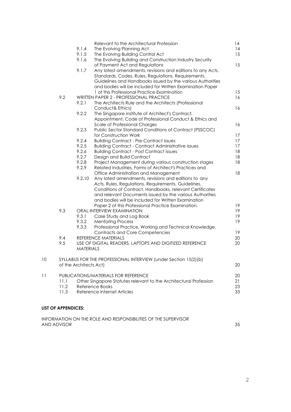|    |      |                        | Relevant to the Architectural Profession                          | 14 |
|----|------|------------------------|-------------------------------------------------------------------|----|
|    |      | 9.1.4                  | The Evolving Planning Act                                         | 14 |
|    |      | 9.1.5                  | The Evolving Building Control Act                                 | 15 |
|    |      | 9.1.6                  | The Evolving Building and Construction Industry Security          |    |
|    |      |                        | of Payment Act and Regulations                                    | 15 |
|    |      | 9.1.7                  | Any latest amendments, revisions and editions to any Acts,        |    |
|    |      |                        | Standards, Codes, Rules, Regulations, Requirements,               |    |
|    |      |                        | Guidelines and Handbooks issued by the various Authorities        |    |
|    |      |                        | and bodies will be included for Written Examination Paper         |    |
|    |      |                        | 1 of this Professional Practice Examination                       | 15 |
|    | 9.2  |                        | WRITTEN PAPER 2 - PROFESSIONAL PRACTICE                           | 16 |
|    |      | 9.2.1                  | The Architects Rule and the Architects (Professional              |    |
|    |      |                        | Conduct& Ethics)                                                  | 16 |
|    |      | 9.2.2                  | The Singapore institute of Architect's Contract,                  |    |
|    |      |                        | Appointment, Code of Professional Conduct & Ethics and            |    |
|    |      |                        | Scale of Professional Charges                                     | 16 |
|    |      | 9.2.3                  | Public Sector Standard Conditions of Contract (PSSCOC)            |    |
|    |      |                        | for Construction Work                                             | 17 |
|    |      | 9.2.4                  | <b>Building Contract - Pre-Contract issues</b>                    | 17 |
|    |      | 9.2.5                  | <b>Building Contract - Contract Administrative issues</b>         | 17 |
|    |      | 9.2.6                  | <b>Building Contract - Post Contract issues</b>                   | 18 |
|    |      | 9.2.7                  | Design and Build Contract                                         | 18 |
|    |      | 9.2.8                  | Project Management during various construction stages             | 18 |
|    |      | 9.2.9                  | Related Industries, Forms of Architect's Practices and            |    |
|    |      |                        | Office Administration and Management                              | 18 |
|    |      | 9.2.10                 | Any latest amendments, revisions and editions to any              |    |
|    |      |                        | Acts, Rules, Regulations, Requirements, Guidelines,               |    |
|    |      |                        | Conditions of Contract, Handbooks, relevant Certificates          |    |
|    |      |                        | and relevant Documents issued by the various Authorities          |    |
|    |      |                        | and bodies will be included for Written Examination               |    |
|    |      |                        | Paper 2 of this Professional Practice Examination.                | 19 |
|    | 9.3  |                        | ORAL INTERVIEW EXAMINATION                                        | 19 |
|    |      | 9.3.1                  | Case Study and Log Book                                           | 19 |
|    |      | 9.3.2                  | <b>Mentoring Process</b>                                          | 19 |
|    |      | 9.3.3                  | Professional Practice, Working and Technical Knowledge,           |    |
|    |      |                        | <b>Contracts and Core Competencies</b>                            | 19 |
|    | 9.4  |                        | REFERENCE MATERIALS                                               | 20 |
|    | 9.5  |                        | USE OF DIGITAL READERS, LAPTOPS AND DIGITIZED REFERENCE           | 20 |
|    |      | <b>MATERIALS</b>       |                                                                   |    |
|    |      |                        |                                                                   |    |
| 10 |      |                        | SYLLABUS FOR THE PROFESSIONAL INTERVIEW (under Section 15(2)(b)   |    |
|    |      | of the Architects Act) |                                                                   | 20 |
|    |      |                        |                                                                   |    |
| 11 |      |                        | PUBLICATIONS/MATERIALS FOR REFERENCE                              | 20 |
|    | 11.1 |                        | Other Singapore Statutes relevant to the Architectural Profession | 21 |
|    | 11.2 |                        | Reference Books                                                   | 23 |
|    | 11.3 |                        | Reference Internet Articles                                       | 33 |
|    |      |                        |                                                                   |    |
|    |      |                        |                                                                   |    |

## **LIST OF APPENDICES:**

INFORMATION ON THE ROLE AND RESPONSIBILITIES OF THE SUPERVISOR AND ADVISOR 35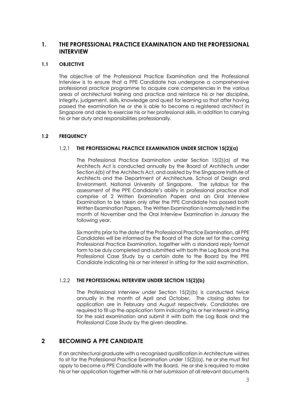# **1. THE PROFESSIONAL PRACTICE EXAMINATION AND THE PROFESSIONAL INTERVIEW**

## **1.1 OBJECTIVE**

The objective of the Professional Practice Examination and the Professional Interview is to ensure that a PPE Candidate has undergone a comprehensive professional practice programme to acquire core competencies in the various areas of architectural training and practice and reinforce his or her discipline, integrity, judgement, skills, knowledge and quest for learning so that after having passed the examination he or she is able to become a registered architect in Singapore and able to exercise his or her professional skills, in addition to carrying his or her duty and responsibilities professionally.

## **1.2 FREQUENCY**

## 1.2.1 **THE PROFESSIONAL PRACTICE EXAMINATION UNDER SECTION 15(2)(a)**

The Professional Practice Examination under Section 15(2)(a) of the Architects Act is conducted annually by the Board of Architects under Section 6(b) of the Architects Act, and assisted by the Singapore Institute of Architects and the Department of Architecture, School of Design and Environment, National University of Singapore. The syllabus for the assessment of the PPE Candidate's ability in professional practice shall comprise of 2 Written Examination Papers and an Oral Interview Examination to be taken only after the PPE Candidate has passed both Written Examination Papers. The Written Examination is normally held in the month of November and the Oral Interview Examination in January the following year.

Six months prior to the date of the Professional Practice Examination, all PPE Candidates will be informed by the Board of the date set for the coming Professional Practice Examination, together with a standard reply format form to be duly completed and submitted with both the Log Book and the Professional Case Study by a certain date to the Board by the PPE Candidate indicating his or her interest in sitting for the said examination.

#### 1.2.2 **THE PROFESSIONAL INTERVIEW UNDER SECTION 15(2)(b)**

The Professional Interview under Section 15(2)(b) is conducted twice annually in the month of April and October. The closing dates for application are in February and August respectively. Candidates are required to fill up the application form indicating his or her interest in sitting for the said examination and submit it with both the Log Book and the Professional Case Study by the given deadline.

## **2 BECOMING A PPE CANDIDATE**

If an architectural graduate with a recognised qualification in Architecture wishes to sit for the Professional Practice Examination under 15(2)(a), he or she must first apply to become a PPE Candidate with the Board. He or she is required to make his or her application together with his or her submission of all relevant documents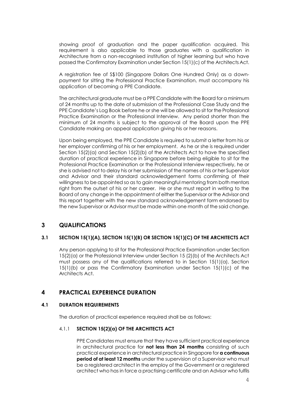showing proof of graduation and the paper qualification acquired. This requirement is also applicable to those graduates with a qualification in Architecture from a non-recognised institution of higher learning but who have passed the Confirmatory Examination under Section 15(1)(c) of the Architects Act.

A registration fee of S\$100 (Singapore Dollars One Hundred Only) as a downpayment for sitting the Professional Practice Examination, must accompany his application of becoming a PPE Candidate.

The architectural graduate must be a PPE Candidate with the Board for a minimum of 24 months up to the date of submission of the Professional Case Study and the PPE Candidate's Log Book before he or she will be allowed to sit for the Professional Practice Examination or the Professional Interview. Any period shorter than the minimum of 24 months is subject to the approval of the Board upon the PPE Candidate making an appeal application giving his or her reasons.

Upon being employed, the PPE Candidate is required to submit a letter from his or her employer confirming of his or her employment. As he or she is required under Section 15(2)(a) and Section 15(2)(b) of the Architects Act to have the specified duration of practical experience in Singapore before being eligible to sit for the Professional Practice Examination or the Professional Interview respectively, he or she is advised not to delay his or her submission of the names of his or her Supervisor and Advisor and their standard acknowledgement forms confirming of their willingness to be appointed so as to gain meaningful mentoring from both mentors right from the outset of his or her career. He or she must report in writing to the Board of any change in the appointment of either the Supervisor or the Advisor and this report together with the new standard acknowledgement form endorsed by the new Supervisor or Advisor must be made within one month of the said change.

# **3 QUALIFICATIONS**

## **3.1 SECTION 15(1)(A), SECTION 15(1)(B) OR SECTION 15(1)(C) OF THE ARCHITECTS ACT**

Any person applying to sit for the Professional Practice Examination under Section 15(2)(a) or the Professional Interview under Section 15 (2)(b) of the Architects Act must possess any of the qualifications referred to in Section 15(1)(a), Section 15(1)(b) or pass the Confirmatory Examination under Section 15(1)(c) of the Architects Act.

## **4 PRACTICAL EXPERIENCE DURATION**

## **4.1 DURATION REQUIREMENTS**

The duration of practical experience required shall be as follows:

## 4.1.1 **SECTION 15(2)(a) OF THE ARCHITECTS ACT**

PPE Candidates must ensure that they have sufficient practical experience in architectural practice for **not less than 24 months** consisting of such practical experience in architectural practice in Singapore for **a continuous period of at least 12 months** under the supervision of a Supervisor who must be a registered architect in the employ of the Government or a registered architect who has in force a practising certificate and an Advisor who fulfils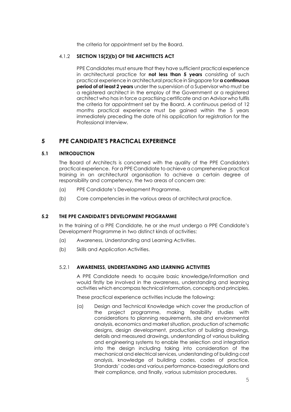the criteria for appointment set by the Board.

## 4.1.2 **SECTION 15(2)(b) OF THE ARCHITECTS ACT**

PPE Candidates must ensure that they have sufficient practical experience in architectural practice for **not less than 5 years** consisting of such practical experience in architectural practice in Singapore for **a continuous period of at least 2 years** under the supervision of a Supervisor who must be a registered architect in the employ of the Government or a registered architect who has in force a practising certificate and an Advisor who fulfils the criteria for appointment set by the Board. A continuous period of 12 months practical experience must be gained within the 5 years immediately preceding the date of his application for registration for the Professional Interview.

# **5 PPE CANDIDATE'S PRACTICAL EXPERIENCE**

## **5.1 INTRODUCTION**

The Board of Architects is concerned with the quality of the PPE Candidate's practical experience. For a PPE Candidate to achieve a comprehensive practical training in an architectural organisation to achieve a certain degree of responsibility and competency, the two areas of concern are:

- (a) PPE Candidate's Development Programme.
- (b) Core competencies in the various areas of architectural practice.

## **5.2 THE PPE CANDIDATE'S DEVELOPMENT PROGRAMME**

In the training of a PPE Candidate, he or she must undergo a PPE Candidate's Development Programme in two distinct kinds of activities:

- (a) Awareness, Understanding and Learning Activities.
- (b) Skills and Application Activities.

#### 5.2.1 **AWARENESS, UNDERSTANDING AND LEARNING ACTIVITIES**

A PPE Candidate needs to acquire basic knowledge/information and would firstly be involved in the awareness, understanding and learning activities which encompass technical information, concepts and principles.

These practical experience activities include the following:

(a) Design and Technical Knowledge which cover the production of the project programme, making feasibility studies with considerations to planning requirements, site and environmental analysis, economics and market situation, production of schematic designs, design development, production of building drawings, details and measured drawings, understanding of various building and engineering systems to enable the selection and integration into the design including taking into consideration of the mechanical and electrical services, understanding of building cost analysis, knowledge of building codes, codes of practice, Standards' codes and various performance-based regulations and their compliance, and finally, various submission procedures.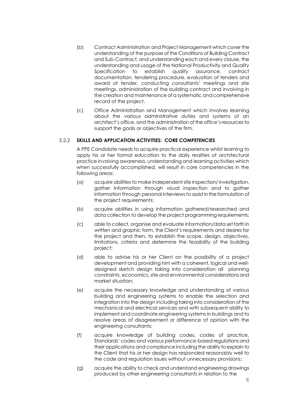- (b) Contract Administration and Project Management which cover the understanding of the purpose of the Conditions of Building Contract and Sub-Contract, and understanding each and every clause, the understanding and usage of the National Productivity and Quality Specification to establish quality assurance, contract documentation, tendering procedure, evaluation of tenders and award of tender, conducting consultants' meetings and site meetings, administration of the building contract and involving in the creation and maintenance of a systematic and comprehensive record of the project.
- (c) Office Administration and Management which involves learning about the various administrative duties and systems of an architect's office, and the administration of the office's resources to support the goals or objectives of the firm.

## 5.2.2 **SKILLS AND APPLICATION ACTIVITIES: CORE COMPETENCIES**

A PPE Candidate needs to acquire practical experience whilst learning to apply his or her formal education to the daily realities of architectural practice involving awareness, understanding and learning activities which when successfully accomplished, will result in core competencies in the following areas:

- (a) acquire abilities to make independent site inspection/ investigation, gather information through visual inspection and to gather information through personal interviews to assist in the formulation of the project requirements;
- (b) acquire abilities in using information gathered/researched and data collection to develop the project programming requirements;
- (c) able to collect, organise and evaluate information/data set forth in written and graphic form, the Client's requirements and desires for the project and then, to establish the scope, design, objectives, limitations, criteria and determine the feasibility of the building project;
- (d) able to advise his or her Client on the possibility of a project development and providing him with a coherent, logical and welldesigned sketch design taking into consideration all planning constraints, economics, site and environmental considerations and market situation;
- (e) acquire the necessary knowledge and understanding of various building and engineering systems to enable the selection and integration into the design including taking into consideration of the mechanical and electrical services and with subsequent ability to implement and coordinate engineering systems in buildings and to resolve areas of disagreement or difference of opinion with the engineering consultants;
- (f) acquire knowledge of building codes, codes of practice, Standards' codes and various performance-based regulations and their applications and compliance including the ability to explain to the Client that his or her design has responded reasonably well to the code and regulation issues without unnecessary provisions;
- (g) acquire the ability to check and understand engineering drawings produced by other engineering consultants in relation to the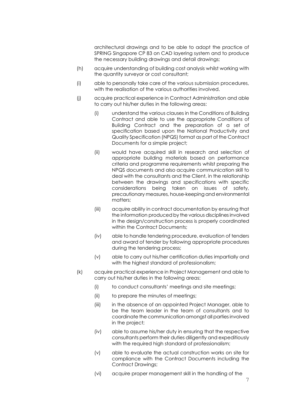architectural drawings and to be able to adopt the practice of SPRING Singapore CP 83 on CAD layering system and to produce the necessary building drawings and detail drawings;

- (h) acquire understanding of building cost analysis whilst working with the quantity surveyor or cost consultant;
- (i) able to personally take care of the various submission procedures, with the realisation of the various authorities involved.
- (j) acquire practical experience in Contract Administration and able to carry out his/her duties in the following areas:
	- (i) understand the various clauses in the Conditions of Building Contract and able to use the appropriate Conditions of Building Contract and the preparation of a set of specification based upon the National Productivity and Quality Specification (NPQS) format as part of the Contract Documents for a simple project;
	- (ii) would have acquired skill in research and selection of appropriate building materials based on performance criteria and programme requirements whilst preparing the NPQS documents and also acquire communication skill to deal with the consultants and the Client, in the relationship between the drawings and specifications with specific considerations being taken on issues of safety, precautionary measures, house-keeping and environmental matters;
	- (iii) acquire ability in contract documentation by ensuring that the information produced by the various disciplines involved in the design/construction process is properly coordinated within the Contract Documents;
	- (iv) able to handle tendering procedure, evaluation of tenders and award of tender by following appropriate procedures during the tendering process;
	- (v) able to carry out his/her certification duties impartially and with the highest standard of professionalism;
- (k) acquire practical experience in Project Management and able to carry out his/her duties in the following areas:
	- (i) to conduct consultants' meetings and site meetings;
	- (ii) to prepare the minutes of meetings;
	- (iii) in the absence of an appointed Project Manager, able to be the team leader in the team of consultants and to coordinate the communication amongst all parties involved in the project;
	- (iv) able to assume his/her duty in ensuring that the respective consultants perform their duties diligently and expeditiously with the required high standard of professionalism;
	- (v) able to evaluate the actual construction works on site for compliance with the Contract Documents including the Contract Drawings;
	- (vi) acquire proper management skill in the handling of the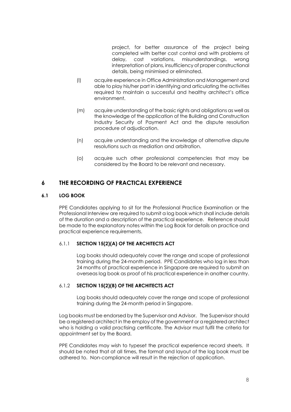project, for better assurance of the project being completed with better cost control and with problems of delay, cost variations, misunderstandings, wrong interpretation of plans, insufficiency of proper constructional details, being minimised or eliminated.

- (l) acquire experience in Office Administration and Management and able to play his/her part in identifying and articulating the activities required to maintain a successful and healthy architect's office environment.
- (m) acquire understanding of the basic rights and obligations as well as the knowledge of the application of the Building and Construction Industry Security of Payment Act and the dispute resolution procedure of adjudication.
- (n) acquire understanding and the knowledge of alternative dispute resolutions such as mediation and arbitration.
- (o) acquire such other professional competencies that may be considered by the Board to be relevant and necessary.

# **6 THE RECORDING OF PRACTICAL EXPERIENCE**

## **6.1 LOG BOOK**

PPE Candidates applying to sit for the Professional Practice Examination or the Professional Interview are required to submit a log book which shall include details of the duration and a description of the practical experience. Reference should be made to the explanatory notes within the Log Book for details on practice and practical experience requirements.

## 6.1.1 **SECTION 15(2)(A) OF THE ARCHITECTS ACT**

Log books should adequately cover the range and scope of professional training during the 24-month period. PPE Candidates who log in less than 24 months of practical experience in Singapore are required to submit an overseas log book as proof of his practical experience in another country.

## 6.1.2 **SECTION 15(2)(B) OF THE ARCHITECTS ACT**

Log books should adequately cover the range and scope of professional training during the 24-month period in Singapore.

Log books must be endorsed by the Supervisor and Advisor. The Supervisor should be a registered architect in the employ of the government or a registered architect who is holding a valid practising certificate. The Advisor must fulfil the criteria for appointment set by the Board.

PPE Candidates may wish to typeset the practical experience record sheets. It should be noted that at all times, the format and layout of the log book must be adhered to. Non-compliance will result in the rejection of application.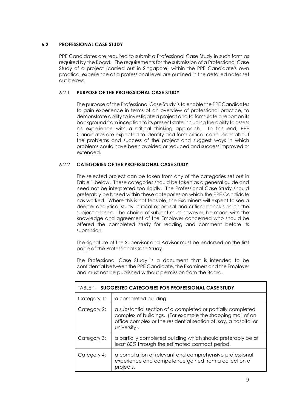## **6.2 PROFESSIONAL CASE STUDY**

PPE Candidates are required to submit a Professional Case Study in such form as required by the Board. The requirements for the submission of a Professional Case Study of a project (carried out in Singapore) within the PPE Candidate's own practical experience at a professional level are outlined in the detailed notes set out below:

## 6.2.1 **PURPOSE OF THE PROFESSIONAL CASE STUDY**

The purpose of the Professional Case Study is to enable the PPE Candidates to gain experience in terms of an overview of professional practice, to demonstrate ability to investigate a project and to formulate a report on its background from inception to its present state including the ability to assess his experience with a critical thinking approach. To this end, PPE Candidates are expected to identify and form critical conclusions about the problems and success of the project and suggest ways in which problems could have been avoided or reduced and success improved or extended.

## 6.2.2 **CATEGORIES OF THE PROFESSIONAL CASE STUDY**

The selected project can be taken from any of the categories set out in Table 1 below. These categories should be taken as a general guide and need not be interpreted too rigidly. The Professional Case Study should preferably be based within these categories on which the PPE Candidate has worked. Where this is not feasible, the Examiners will expect to see a deeper analytical study, critical appraisal and critical conclusion on the subject chosen. The choice of subject must however, be made with the knowledge and agreement of the Employer concerned who should be offered the completed study for reading and comment before its submission.

The signature of the Supervisor and Advisor must be endorsed on the first page of the Professional Case Study.

The Professional Case Study is a document that is intended to be confidential between the PPE Candidate, the Examiners and the Employer and must not be published without permission from the Board.

| SUGGESTED CATEGORIES FOR PROFESSIONAL CASE STUDY<br>TABI F 1. |                                                                                                                                                                                                               |  |
|---------------------------------------------------------------|---------------------------------------------------------------------------------------------------------------------------------------------------------------------------------------------------------------|--|
| Category 1:                                                   | a completed building                                                                                                                                                                                          |  |
| Category 2:                                                   | a substantial section of a completed or partially completed<br>complex of buildings. (For example the shopping mall of an<br>office complex or the residential section of, say, a hospital or<br>university). |  |
| Category 3:                                                   | a partially completed building which should preferably be at<br>least 80% through the estimated contract period.                                                                                              |  |
| Category 4:                                                   | a compilation of relevant and comprehensive professional<br>experience and competence gained from a collection of<br>projects.                                                                                |  |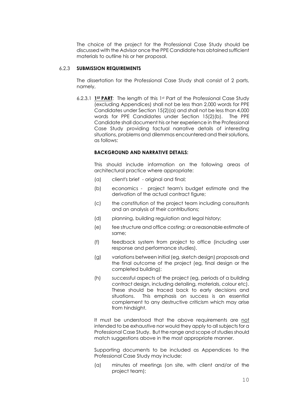The choice of the project for the Professional Case Study should be discussed with the Advisor once the PPE Candidate has obtained sufficient materials to outline his or her proposal.

#### 6.2.3 **SUBMISSION REQUIREMENTS**

The dissertation for the Professional Case Study shall consist of 2 parts, namely,

6.2.3.1 **1ST PART**: The length of this 1st Part of the Professional Case Study (excluding Appendices) shall not be less than 2,000 words for PPE Candidates under Section 15(2)(a) and shall not be less than 4,000 words for PPE Candidates under Section 15(2)(b). The PPE Candidate shall document his or her experience in the Professional Case Study providing factual narrative details of interesting situations, problems and dilemmas encountered and their solutions, as follows:

#### **BACKGROUND AND NARRATIVE DETAILS:**

This should include information on the following areas of architectural practice where appropriate:

- (a) client's brief original and final;
- (b) economics project team's budget estimate and the derivation of the actual contract figure;
- (c) the constitution of the project team including consultants and an analysis of their contributions;
- (d) planning, building regulation and legal history;
- (e) fee structure and office costing; or a reasonable estimate of same;
- (f) feedback system from project to office (including user response and performance studies).
- (g) variations between initial (eg, sketch design) proposals and the final outcome of the project (eg, final design or the completed building);
- (h) successful aspects of the project (eg, periods of a building contract design, including detailing, materials, colour etc). These should be traced back to early decisions and situations. This emphasis on success is an essential complement to any destructive criticism which may arise from hindsight.

It must be understood that the above requirements are not intended to be exhaustive nor would they apply to all subjects for a Professional Case Study. But the range and scope of studies should match suggestions above in the most appropriate manner.

Supporting documents to be included as Appendices to the Professional Case Study may include:

(a) minutes of meetings (on site, with client and/or of the project team);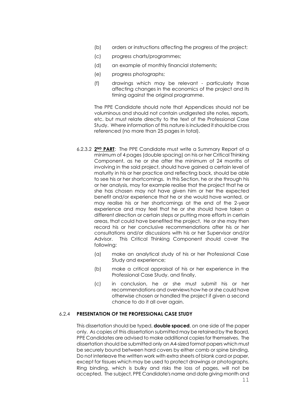- (b) orders or instructions affecting the progress of the project;
- (c) progress charts/programmes;
- (d) an example of monthly financial statements;
- (e) progress photographs;
- (f) drawings which may be relevant particularly those affecting changes in the economics of the project and its timing against the original programme.

The PPE Candidate should note that Appendices should not be voluminous and should not contain undigested site notes, reports, etc. but must relate directly to the text of the Professional Case Study. Where information of this nature is included it should be cross referenced (no more than 25 pages in total).

- 6.2.3.2 **2ND PART**: The PPE Candidate must write a Summary Report of a minimum of 4 pages (double spacing) on his or her Critical Thinking Component, as he or she after the minimum of 24 months of involving in the said project, should have gained a certain level of maturity in his or her practice and reflecting back, should be able to see his or her shortcomings. In this Section, he or she through his or her analysis, may for example realise that the project that he or she has chosen may not have given him or her the expected benefit and/or experience that he or she would have wanted, or may realise his or her shortcomings at the end of the 2-year experience and may feel that he or she should have taken a different direction or certain steps or putting more efforts in certain areas, that could have benefited the project. He or she may then record his or her conclusive recommendations after his or her consultations and/or discussions with his or her Supervisor and/or Advisor. This Critical Thinking Component should cover the following:
	- (a) make an analytical study of his or her Professional Case Study and experience;
	- (b) make a critical appraisal of his or her experience in the Professional Case Study, and finally,
	- (c) in conclusion, he or she must submit his or her recommendations and overviews how he or she could have otherwise chosen or handled the project if given a second chance to do it all over again.

#### 6.2.4 **PRESENTATION OF THE PROFESSIONAL CASE STUDY**

This dissertation should be typed, **double spaced**, on one side of the paper only. As copies of this dissertation submitted may be retained by the Board, PPE Candidates are advised to make additional copies for themselves. The dissertation should be submitted only on A4-sized format papers which must be securely bound between hard covers by either comb or spine binding. Do not interleave the written work with extra sheets of blank card or paper, except for tissues which may be used to protect drawings or photographs. Ring binding, which is bulky and risks the loss of pages, will not be accepted. The subject, PPE Candidate's name and date giving month and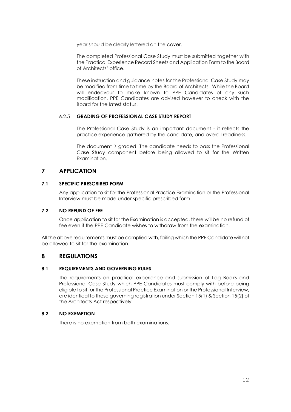year should be clearly lettered on the cover.

The completed Professional Case Study must be submitted together with the Practical Experience Record Sheets and Application Form to the Board of Architects' office.

These instruction and guidance notes for the Professional Case Study may be modified from time to time by the Board of Architects. While the Board will endeavour to make known to PPE Candidates of any such modification, PPE Candidates are advised however to check with the Board for the latest status.

## 6.2.5 **GRADING OF PROFESSIONAL CASE STUDY REPORT**

The Professional Case Study is an important document - it reflects the practice experience gathered by the candidate, and overall readiness.

The document is graded. The candidate needs to pass the Professional Case Study component before being allowed to sit for the Written Examination.

## **7 APPLICATION**

## **7.1 SPECIFIC PRESCRIBED FORM**

Any application to sit for the Professional Practice Examination or the Professional Interview must be made under specific prescribed form.

#### **7.2 NO REFUND OF FEE**

Once application to sit for the Examination is accepted, there will be no refund of fee even if the PPE Candidate wishes to withdraw from the examination.

All the above requirements must be complied with, failing which the PPE Candidate will not be allowed to sit for the examination.

## **8 REGULATIONS**

#### **8.1 REQUIREMENTS AND GOVERNING RULES**

The requirements on practical experience and submission of Log Books and Professional Case Study which PPE Candidates must comply with before being eligible to sit for the Professional Practice Examination or the Professional Interview, are identical to those governing registration under Section 15(1) & Section 15(2) of the Architects Act respectively.

#### **8.2 NO EXEMPTION**

There is no exemption from both examinations.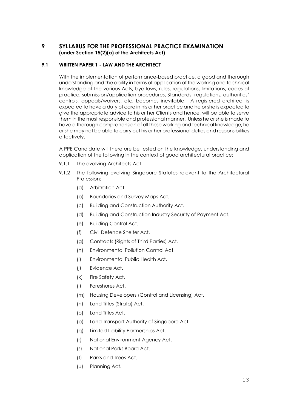## **9 SYLLABUS FOR THE PROFESSIONAL PRACTICE EXAMINATION (under Section 15(2)(a) of the Architects Act)**

## **9.1 WRITTEN PAPER 1 - LAW AND THE ARCHITECT**

With the implementation of performance-based practice, a good and thorough understanding and the ability in terms of application of the working and technical knowledge of the various Acts, bye-laws, rules, regulations, limitations, codes of practice, submission/application procedures, Standards' regulations, authorities' controls, appeals/waivers, etc, becomes inevitable. A registered architect is expected to have a duty of care in his or her practice and he or she is expected to give the appropriate advice to his or her Clients and hence, will be able to serve them in the most responsible and professional manner. Unless he or she is made to have a thorough comprehension of all these working and technical knowledge, he or she may not be able to carry out his or her professional duties and responsibilities effectively.

A PPE Candidate will therefore be tested on the knowledge, understanding and application of the following in the context of good architectural practice:

- 9.1.1 The evolving Architects Act.
- 9.1.2 The following evolving Singapore Statutes relevant to the Architectural Profession:
	- (a) [Arbitration Act.](http://statutes.agc.gov.sg/non_version/cgi-bin/cgi_retrieve.pl?actno=REVED-10&doctitle=%20ARBITRATION%20ACT%0a&date=latest&method=part)
	- (b) [Boundaries and Survey Maps Act.](http://statutes.agc.gov.sg/non_version/cgi-bin/cgi_retrieve.pl?actno=REVED-25&doctitle=BOUNDARIES%20AND%20SURVEY%20MAPS%20ACT%0a&date=latest&method=part)
	- (c) Building and Construction Authority Act.
	- (d) Building and Construction Industry Security of Payment Act.
	- (e) Building Control Act.
	- (f) Civil Defence Shelter Act.
	- (g) Contracts (Rights of Third Parties) Act.
	- (h) Environmental Pollution Control Act.
	- (i) Environmental Public Health Act.
	- (j) Evidence Act.
	- (k) Fire Safety Act.
	- (l) Foreshores Act.
	- (m) Housing Developers (Control and Licensing) Act.
	- (n) [Land Titles \(Strata\) Act.](http://statutes.agc.gov.sg/non_version/cgi-bin/cgi_retrieve.pl?actno=REVED-158&doctitle=LAND%20TITLES%20%28STRATA%29%20ACT%0a&date=latest&method=part)
	- (o) [Land Titles Act.](http://statutes.agc.gov.sg/non_version/cgi-bin/cgi_retrieve.pl?actno=REVED-157&doctitle=LAND%20TITLES%20ACT%0a&date=latest&method=part)
	- (p) [Land Transport Authority of Singapore Act.](http://statutes.agc.gov.sg/non_version/cgi-bin/cgi_retrieve.pl?actno=REVED-158A&doctitle=LAND%20TRANSPORT%20AUTHORITY%20OF%20SINGAPORE%20ACT%0a&date=latest&method=part)
	- (q) Limited Liability Partnerships Act.
	- (r) [National Environment Agency Act.](http://statutes.agc.gov.sg/non_version/cgi-bin/cgi_retrieve.pl?actno=REVED-195&doctitle=NATIONAL%20ENVIRONMENT%20AGENCY%20ACT%0a&date=latest&method=part)
	- (s) [National Parks Board Act.](http://statutes.agc.gov.sg/non_version/cgi-bin/cgi_retrieve.pl?actno=REVED-198A&doctitle=NATIONAL%20PARKS%20ACT%0a&date=latest&method=part)
	- (t) [Parks and Trees Act.](http://statutes.agc.gov.sg/non_version/cgi-bin/cgi_retrieve.pl?actno=REVED-216&doctitle=PARKS%20AND%20TREES%20ACT%0a&date=latest&method=part)
	- (u) [Planning Act.](http://statutes.agc.gov.sg/non_version/cgi-bin/cgi_retrieve.pl?actno=REVED-232&doctitle=PLANNING%20ACT%0a&date=latest&method=part)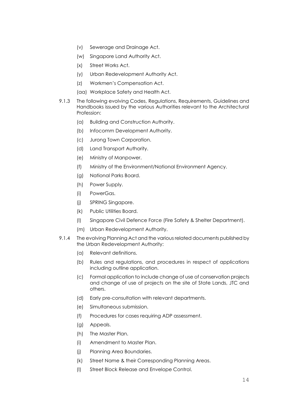- (v) [Sewerage and Drainage Act.](http://statutes.agc.gov.sg/non_version/cgi-bin/cgi_retrieve.pl?actno=REVED-294&doctitle=SEWERAGE%20AND%20DRAINAGE%20ACT%0a&date=latest&method=part)
- (w) [Singapore Land Authority Act.](http://statutes.agc.gov.sg/non_version/cgi-bin/cgi_retrieve.pl?actno=REVED-301&doctitle=SINGAPORE%20LAND%20AUTHORITY%20ACT%0a&date=latest&method=part)
- (x) [Street Works Act.](http://statutes.agc.gov.sg/non_version/cgi-bin/cgi_retrieve.pl?actno=REVED-320A&doctitle=STREET%20WORKS%20ACT%0a&date=latest&method=part)
- (y) Urban Redevelopment Authority Act.
- (z) Workmen's Compensation Act.
- (aa) Workplace Safety and Health Act.
- 9.1.3 The following evolving Codes, Regulations, Requirements, Guidelines and Handbooks issued by the various Authorities relevant to the Architectural Profession:
	- (a) Building and Construction Authority.
	- (b) Infocomm Development Authority.
	- (c) Jurong Town Corporation.
	- (d) Land Transport Authority.
	- (e) Ministry of Manpower.
	- (f) Ministry of the Environment/National Environment Agency.
	- (g) National Parks Board.
	- (h) Power Supply.
	- (i) PowerGas.
	- (j) SPRING Singapore.
	- (k) Public Utilities Board.
	- (l) Singapore Civil Defence Force (Fire Safety & Shelter Department).
	- (m) Urban Redevelopment Authority.
- 9.1.4 The evolving Planning Act and the various related documents published by the Urban Redevelopment Authority:
	- (a) Relevant definitions.
	- (b) Rules and regulations, and procedures in respect of applications including outline application.
	- (c) Formal application to include change of use of conservation projects and change of use of projects on the site of State Lands, JTC and others.
	- (d) Early pre-consultation with relevant departments.
	- (e) Simultaneous submission.
	- (f) Procedures for cases requiring ADP assessment.
	- (g) Appeals.
	- (h) The Master Plan.
	- (i) Amendment to Master Plan.
	- (j) Planning Area Boundaries.
	- (k) [Street Name & their Corresponding Planning Areas.](http://www.ura.gov.sg/innerFrame.jsp?leftFrame=/buildingpro/buildingpro-nav.jsp&contents=/dc/street_name/street_name.html&leftFrameIndex=street)
	- (l) [Street Block Release and Envelope Control.](http://www.ura.gov.sg/innerFrame.jsp?leftFrame=/buildingpro/buildingpro-nav.jsp&contents=/circulars/text/stb.html&leftFrameIndex=block)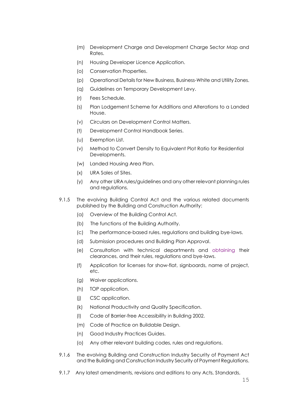- (m) Development Charge and [Development Charge Sector Map and](http://www.ura.gov.sg/innerFrame.jsp?leftFrame=/buildingpro/buildingpro-nav.jsp&contents=/dc/devcharge/devcharge.html&leftFrameIndex=development)  [Rates.](http://www.ura.gov.sg/innerFrame.jsp?leftFrame=/buildingpro/buildingpro-nav.jsp&contents=/dc/devcharge/devcharge.html&leftFrameIndex=development)
- (n) [Housing Developer Licence Application.](http://www.ura.gov.sg/innerFrame.jsp?leftFrame=/eservices/eservices-nav.jsp&contents=/buildingpro/coh-devlicence-subframe.htm&leftFrameIndex=edevelopers)
- (o) [Conservation Properties.](http://www.ura.gov.sg/innerFrame.jsp?leftFrame=/buildingpro/buildingpro-nav.jsp&contents=/conservation/faq3.htm&leftFrameIndex=properties)
- (p) Operational Details for New Business, Business-White and Utility Zones.
- (q) Guidelines on [Temporary Development Levy.](http://www.ura.gov.sg/circulars/text/dc03-45.pdf)
- (r) Fees Schedule.
- (s) [Plan Lodgement Scheme for Additions and Alterations to a Landed](http://www.ura.gov.sg/homeowner/attachments/attach-b.htm)  [House.](http://www.ura.gov.sg/homeowner/attachments/attach-b.htm)
- (v) Circulars on Development Control Matters.
- (t) Development Control Handbook Series.
- (u) Exemption List.
- (v) Method to Convert Density to Equivalent Plot Ratio for Residential Developments.
- (w) Landed Housing Area Plan.
- (x) URA Sales of Sites.
- (y) Any other URA rules/guidelines and any other relevant planning rules and regulations.
- 9.1.5 The evolving Building Control Act and the various related documents published by the Building and Construction Authority:
	- (a) Overview of the Building Control Act.
	- (b) The functions of the Building Authority.
	- (c) The performance-based rules, regulations and building bye-laws.
	- (d) Submission procedures and Building Plan Approval.
	- (e) Consultation with technical departments and obtaining their clearances, and their rules, regulations and bye-laws.
	- (f) Application for licenses for show-flat, signboards, name of project, etc.
	- (g) Waiver applications.
	- (h) TOP application.
	- (j) CSC application.
	- (k) National Productivity and Quality Specification.
	- (l) Code of Barrier-free Accessibility in Building 2002.
	- (m) Code of Practice on Buildable Design.
	- (n) Good Industry Practices Guides.
	- (o) Any other relevant building codes, rules and regulations.
- 9.1.6 The evolving Building and Construction Industry Security of Payment Act and the Building and Construction Industry Security of Payment Regulations.
- 9.1.7 Any latest amendments, revisions and editions to any Acts, Standards,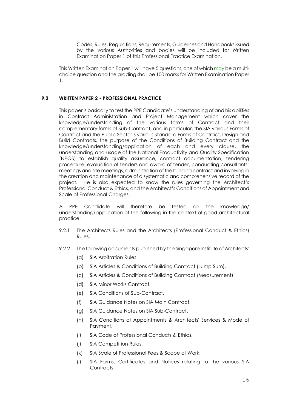Codes, Rules, Regulations, Requirements, Guidelines and Handbooks issued by the various Authorities and bodies will be included for Written Examination Paper 1 of this Professional Practice Examination.

This Written Examination Paper 1 will have 5 questions, one of which may be a multichoice question and the grading shall be 100 marks for Written Examination Paper 1.

## **9.2 WRITTEN PAPER 2 - PROFESSIONAL PRACTICE**

This paper is basically to test the PPE Candidate's understanding of and his abilities in Contract Administration and Project Management which cover the knowledge/understanding of the various forms of Contract and their complementary forms of Sub-Contract, and in particular, the SIA various Forms of Contract and the Public Sector's various Standard Forms of Contract, Design and Build Contracts, the purpose of the Conditions of Building Contract and the knowledge/understanding/application of each and every clause, the understanding and usage of the National Productivity and Quality Specification (NPQS) to establish quality assurance, contract documentation, tendering procedure, evaluation of tenders and award of tender, conducting consultants' meetings and site meetings, administration of the building contract and involving in the creation and maintenance of a systematic and comprehensive record of the project. He is also expected to know the rules governing the Architect's Professional Conduct & Ethics, and the Architect's Conditions of Appointment and Scale of Professional Charges.

A PPE Candidate will therefore be tested on the knowledge/ understanding/application of the following in the context of good architectural practice:

- 9.2.1 The Architects Rules and the Architects (Professional Conduct & Ethics) Rules.
- 9.2.2 The following documents published by the Singapore Institute of Architects:
	- (a) SIA Arbitration Rules.
	- (b) SIA Articles & Conditions of Building Contract (Lump Sum).
	- (c) SIA Articles & Conditions of Building Contract (Measurement).
	- (d) SIA Minor Works Contract.
	- (e) SIA Conditions of Sub-Contract.
	- (f) SIA Guidance Notes on SIA Main Contract.
	- (g) SIA Guidance Notes on SIA Sub-Contract.
	- (h) SIA Conditions of Appointments & Architects' Services & Mode of Payment.
	- (i) SIA Code of Professional Conducts & Ethics.
	- (j) SIA Competition Rules.
	- (k) SIA Scale of Professional Fees & Scope of Work.
	- (l) SIA Forms, Certificates and Notices relating to the various SIA Contracts.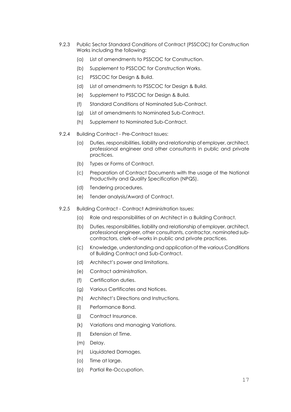- 9.2.3 Public Sector Standard Conditions of Contract (PSSCOC) for Construction Works including the following:
	- (a) List of amendments to PSSCOC for Construction.
	- (b) Supplement to PSSCOC for Construction Works.
	- (c) PSSCOC for Design & Build.
	- (d) List of amendments to PSSCOC for Design & Build.
	- (e) Supplement to PSSCOC for Design & Build.
	- (f) Standard Conditions of Nominated Sub-Contract.
	- (g) List of amendments to Nominated Sub-Contract.
	- (h) Supplement to Nominated Sub-Contract.
- 9.2.4 Building Contract Pre-Contract Issues:
	- (a) Duties, responsibilities, liability and relationship of employer, architect, professional engineer and other consultants in public and private practices.
	- (b) Types or Forms of Contract.
	- (c) Preparation of Contract Documents with the usage of the National Productivity and Quality Specification (NPQS).
	- (d) Tendering procedures.
	- (e) Tender analysis/Award of Contract.
- 9.2.5 Building Contract Contract Administration Issues:
	- (a) Role and responsibilities of an Architect in a Building Contract.
	- (b) Duties, responsibilities, liability and relationship of employer, architect, professional engineer, other consultants, contractor, nominated subcontractors, clerk-of-works in public and private practices.
	- (c) Knowledge, understanding and application of the various Conditions of Building Contract and Sub-Contract.
	- (d) Architect's power and limitations.
	- (e) Contract administration.
	- (f) Certification duties.
	- (g) Various Certificates and Notices.
	- (h) Architect's Directions and Instructions.
	- (i) Performance Bond.
	- (j) Contract Insurance.
	- (k) Variations and managing Variations.
	- (l) Extension of Time.
	- (m) Delay.
	- (n) Liquidated Damages.
	- (o) Time at large.
	- (p) Partial Re-Occupation.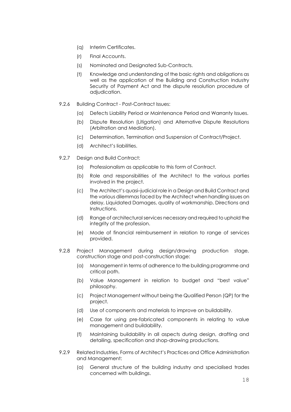- (q) Interim Certificates.
- (r) Final Accounts.
- (s) Nominated and Designated Sub-Contracts.
- (t) Knowledge and understanding of the basic rights and obligations as well as the application of the Building and Construction Industry Security of Payment Act and the dispute resolution procedure of adjudication.
- 9.2.6 Building Contract Post-Contract Issues:
	- (a) Defects Liability Period or Maintenance Period and Warranty Issues.
	- (b) Dispute Resolution (Litigation) and Alternative Dispute Resolutions (Arbitration and Mediation).
	- (c) Determination, Termination and Suspension of Contract/Project.
	- (d) Architect's liabilities.
- 9.2.7 Design and Build Contract:
	- (a) Professionalism as applicable to this form of Contract.
	- (b) Role and responsibilities of the Architect to the various parties involved in the project.
	- (c) The Architect's quasi–judicial role in a Design and Build Contract and the various dilemmas faced by the Architect when handling issues on delay, Liquidated Damages, quality of workmanship, Directions and Instructions.
	- (d) Range of architectural services necessary and required to uphold the integrity of the profession.
	- (e) Mode of financial reimbursement in relation to range of services provided.
- 9.2.8 Project Management during design/drawing production stage, construction stage and post-construction stage:
	- (a) Management in terms of adherence to the building programme and critical path.
	- (b) Value Management in relation to budget and "best value" philosophy.
	- (c) Project Management without being the Qualified Person (QP) for the project.
	- (d) Use of components and materials to improve on buildability.
	- (e) Case for using pre-fabricated components in relating to value management and buildability.
	- (f) Maintaining buildability in all aspects during design, drafting and detailing, specification and shop-drawing productions.
- 9.2.9 Related Industries, Forms of Architect's Practices and Office Administration and Management:
	- (a) General structure of the building industry and specialised trades concerned with buildings.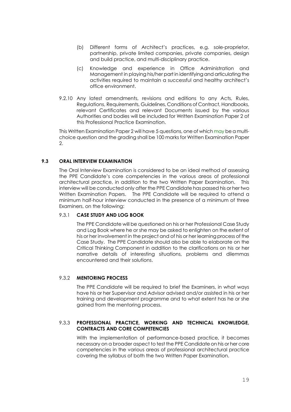- (b) Different forms of Architect's practices, e.g. sole-proprietor, partnership, private limited companies, private companies, design and build practice, and multi-disciplinary practice.
- (c) Knowledge and experience in Office Administration and Management in playing his/her part in identifying and articulating the activities required to maintain a successful and healthy architect's office environment.
- 9.2.10 Any latest amendments, revisions and editions to any Acts, Rules, Regulations, Requirements, Guidelines, Conditions of Contract, Handbooks, relevant Certificates and relevant Documents issued by the various Authorities and bodies will be included for Written Examination Paper 2 of this Professional Practice Examination.

This Written Examination Paper 2 will have 5 questions, one of which may be a multichoice question and the grading shall be 100 marks for Written Examination Paper 2.

## **9.3 ORAL INTERVIEW EXAMINATION**

The Oral Interview Examination is considered to be an ideal method of assessing the PPE Candidate's core competencies in the various areas of professional architectural practice, in addition to the two Written Paper Examination. This interview will be conducted only after the PPE Candidate has passed his or her two Written Examination Papers. The PPE Candidate will be required to attend a minimum half-hour interview conducted in the presence of a minimum of three Examiners, on the following:

#### 9.3.1 **CASE STUDY AND LOG BOOK**

The PPE Candidate will be questioned on his or her Professional Case Study and Log Book where he or she may be asked to enlighten on the extent of his or her involvement in the project and of his or her learning process of the Case Study. The PPE Candidate should also be able to elaborate on the Critical Thinking Component in addition to the clarifications on his or her narrative details of interesting situations, problems and dilemmas encountered and their solutions.

## 9.3.2 **MENTORING PROCESS**

The PPE Candidate will be required to brief the Examiners, in what ways have his or her Supervisor and Advisor advised and/or assisted in his or her training and development programme and to what extent has he or she gained from the mentoring process.

## 9.3.3 **PROFESSIONAL PRACTICE, WORKING AND TECHNICAL KNOWLEDGE, CONTRACTS AND CORE COMPETENCIES**

With the implementation of performance-based practice, it becomes necessary on a broader aspect to test the PPE Candidate on his or her core competencies in the various areas of professional architectural practice covering the syllabus of both the two Written Paper Examination.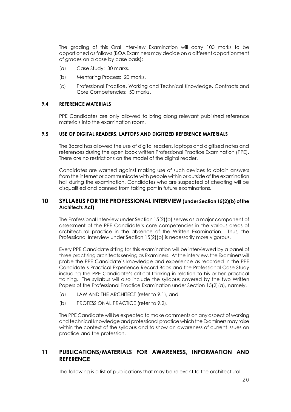The grading of this Oral Interview Examination will carry 100 marks to be apportioned as follows (BOA Examiners may decide on a different apportionment of grades on a case by case basis):

- (a) Case Study: 30 marks.
- (b) Mentoring Process: 20 marks.
- (c) Professional Practice, Working and Technical Knowledge, Contracts and Core Competencies: 50 marks.

#### **9.4 REFERENCE MATERIALS**

PPE Candidates are only allowed to bring along relevant published reference materials into the examination room.

## **9.5 USE OF DIGITAL READERS, LAPTOPS AND DIGITIZED REFERENCE MATERIALS**

The Board has allowed the use of digital readers, laptops and digitized notes and references during the open book written Professional Practice Examination (PPE). There are no restrictions on the model of the digital reader.

Candidates are warned against making use of such devices to obtain answers from the internet or communicate with people within or outside of the examination hall during the examination. Candidates who are suspected of cheating will be disqualified and banned from taking part in future examinations.

## **10 SYLLABUS FOR THE PROFESSIONAL INTERVIEW (under Section 15(2)(b) of the Architects Act)**

The Professional Interview under Section 15(2)(b) serves as a major component of assessment of the PPE Candidate's core competencies in the various areas of architectural practice in the absence of the Written Examination. Thus, the Professional Interview under Section 15(2)(b) is necessarily more vigorous.

Every PPE Candidate sitting for this examination will be interviewed by a panel of three practising architects serving as Examiners. At the interview, the Examiners will probe the PPE Candidate's knowledge and experience as recorded in the PPE Candidate's Practical Experience Record Book and the Professional Case Study including the PPE Candidate's critical thinking in relation to his or her practical training. The syllabus will also include the syllabus covered by the two Written Papers of the Professional Practice Examination under Section 15(2)(a), namely,

- (a) LAW AND THE ARCHITECT (refer to 9.1), and
- (b) PROFESSIONAL PRACTICE (refer to 9.2).

The PPE Candidate will be expected to make comments on any aspect of working and technical knowledge and professional practice which the Examiners may raise within the context of the syllabus and to show an awareness of current issues on practice and the profession.

## **11 PUBLICATIONS/MATERIALS FOR AWARENESS, INFORMATION AND REFERENCE**

The following is a list of publications that may be relevant to the architectural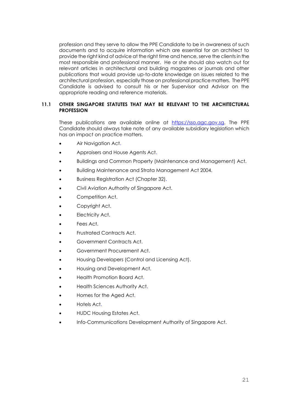profession and they serve to allow the PPE Candidate to be in awareness of such documents and to acquire information which are essential for an architect to provide the right kind of advice at the right time and hence, serve the clients in the most responsible and professional manner. He or she should also watch out for relevant articles in architectural and building magazines or journals and other publications that would provide up-to-date knowledge on issues related to the architectural profession, especially those on professional practice matters. The PPE Candidate is advised to consult his or her Supervisor and Advisor on the appropriate reading and reference materials.

## **11.1 OTHER SINGAPORE STATUTES THAT MAY BE RELEVANT TO THE ARCHITECTURAL PROFESSION**

These publications are available online at [https://sso.agc.gov.sg.](https://sso.agc.gov.sg/) The PPE Candidate should always take note of any available subsidiary legislation which has an impact on practice matters.

- [Air Navigation Act.](http://statutes.agc.gov.sg/non_version/cgi-bin/cgi_retrieve.pl?actno=REVED-6&doctitle=AIR%20NAVIGATION%20ACT%0a&date=latest&method=part)
- [Appraisers and House Agents Act.](http://statutes.agc.gov.sg/non_version/cgi-bin/cgi_retrieve.pl?actno=REVED-16&doctitle=APPRAISERS%20AND%20HOUSE%20AGENTS%20ACT%0a&date=latest&method=part)
- Buildings and Common Property (Maintenance and Management) Act.
- Building Maintenance and Strata Management Act 2004.
- [Business Registration Act \(Chapter 32\).](http://statutes.agc.gov.sg/non_version/cgi-bin/cgi_retrieve.pl?actno=REVED-32&doctitle=BUSINESS%20REGISTRATION%20ACT%20%28CHAPTER%2032%29%0a&date=latest&method=part)
- [Civil Aviation Authority](http://statutes.agc.gov.sg/non_version/cgi-bin/cgi_retrieve.pl?actno=REVED-32&doctitle=BUSINESS%20REGISTRATION%20ACT%20%28CHAPTER%2032%29%0a&date=latest&method=part) of Singapore Act.
- Competition Act.
- Copyright Act.
- Electricity Act.
- Fees Act.
- Frustrated Contracts Act.
- Government Contracts Act.
- Government Procurement Act.
- Housing Developers (Control and Licensing Act).
- Housing and Development Act.
- [Health Promotion Board Act.](http://statutes.agc.gov.sg/non_version/cgi-bin/cgi_retrieve.pl?actno=REVED-122B&doctitle=HEALTH%20PROMOTION%20BOARD%20ACT%0a&date=latest&method=part)
- [Health Sciences Authority Act.](http://statutes.agc.gov.sg/non_version/cgi-bin/cgi_retrieve.pl?actno=REVED-122C&doctitle=HEALTH%20SCIENCES%20AUTHORITY%20ACT%0a&date=latest&method=part)
- [Homes for the Aged Act.](http://statutes.agc.gov.sg/non_version/cgi-bin/cgi_retrieve.pl?actno=REVED-126A&doctitle=HOMES%20FOR%20THE%20AGED%20ACT%0a&date=latest&method=part)
- [Hotels Act.](http://statutes.agc.gov.sg/non_version/cgi-bin/cgi_retrieve.pl?actno=REVED-127&doctitle=HOTELS%20ACT%0a&date=latest&method=part)
- HUDC Housing Estates Act.
- Info-Communications Development Authority of Singapore Act.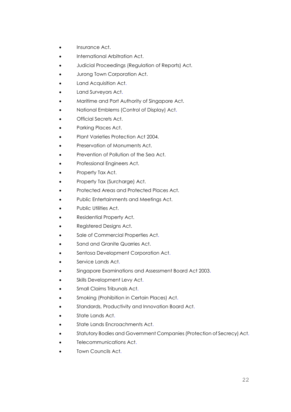- Insurance Act.
- International Arbitration Act.
- Judicial Proceedings (Regulation of Reports) Act.
- Jurong Town Corporation Act.
- [Land Acquisition Act.](http://statutes.agc.gov.sg/non_version/cgi-bin/cgi_retrieve.pl?actno=REVED-152&doctitle=LAND%20ACQUISITION%20ACT%0a&date=latest&method=part)
- [Land Surveyors Act.](http://statutes.agc.gov.sg/non_version/cgi-bin/cgi_retrieve.pl?actno=REVED-156&doctitle=LAND%20SURVEYORS%20ACT%0a&date=latest&method=part)
- Maritime and Port Authority of Singapore Act.
- [National Emblems \(Control of Display\) Act.](http://statutes.agc.gov.sg/non_version/cgi-bin/cgi_retrieve.pl?actno=REVED-196&doctitle=NATIONAL%20EMBLEMS%20%28CONTROL%20OF%20DISPLAY%29%20ACT%0a&date=latest&method=part)
- Official Secrets Act.
- [Parking Places Act.](http://statutes.agc.gov.sg/non_version/cgi-bin/cgi_retrieve.pl?actno=REVED-214&doctitle=PARKING%20PLACES%20ACT%0a&date=latest&method=part)
- [Plant Varieties Protection Act 2004.](http://statutes.agc.gov.sg/non_version/cgi-bin/cgi_legdisp.pl?actno=2004-ACT-22-N&doctitle=PLANT%20VARIETIES%20PROTECTION%20ACT%202004%0a&date=latest&method=part)
- [Preservation of Monuments Act.](http://statutes.agc.gov.sg/non_version/cgi-bin/cgi_retrieve.pl?actno=REVED-239&doctitle=PRESERVATION%20OF%20MONUMENTS%20ACT%0a&date=latest&method=part)
- [Prevention of Pollution of the Sea Act.](http://statutes.agc.gov.sg/non_version/cgi-bin/cgi_retrieve.pl?actno=REVED-243&doctitle=PREVENTION%20OF%20POLLUTION%20OF%20THE%20SEA%20ACT%0a&date=latest&method=part)
- [Professional Engineers Act.](http://statutes.agc.gov.sg/non_version/cgi-bin/cgi_retrieve.pl?actno=REVED-253&doctitle=PROFESSIONAL%20ENGINEERS%20ACT%0a&date=latest&method=part)
- [Property Tax Act.](http://statutes.agc.gov.sg/non_version/cgi-bin/cgi_retrieve.pl?actno=REVED-254&doctitle=PROPERTY%20TAX%20ACT%0a&date=latest&method=part)
- Property Tax (Surcharge) Act.
- [Protected Areas and Protected Places Act.](http://statutes.agc.gov.sg/non_version/cgi-bin/cgi_retrieve.pl?actno=REVED-256&doctitle=PROTECTED%20AREAS%20AND%20PROTECTED%20PLACES%20ACT%0a&date=latest&method=part)
- [Public Entertainments and Meetings Act.](http://statutes.agc.gov.sg/non_version/cgi-bin/cgi_retrieve.pl?actno=REVED-257&doctitle=PUBLIC%20ENTERTAINMENTS%20AND%20MEETINGS%20ACT%0a&date=latest&method=part)
- [Public Utilities Act.](http://statutes.agc.gov.sg/non_version/cgi-bin/cgi_retrieve.pl?actno=REVED-261&doctitle=PUBLIC%20UTILITIES%20ACT%0a&date=latest&method=part)
- Residential Property Act.
- Registered Designs Act.
- [Sale of Commercial Properties Act.](http://statutes.agc.gov.sg/non_version/cgi-bin/cgi_retrieve.pl?actno=REVED-281&doctitle=SALE%20OF%20COMMERCIAL%20PROPERTIES%20ACT%0a&date=latest&method=part)
- Sand and Granite Quarries Act.
- [Sentosa Development Corporation Act.](http://statutes.agc.gov.sg/non_version/cgi-bin/cgi_retrieve.pl?actno=REVED-291&doctitle=SENTOSA%20DEVELOPMENT%20CORPORATION%20ACT%0a&date=latest&method=part)
- [Service Lands Act.](http://statutes.agc.gov.sg/non_version/cgi-bin/cgi_retrieve.pl?actno=REVED-292&doctitle=SERVICE%20LANDS%20ACT%0a&date=latest&method=part)
- [Singapore Examinations and Assessment Board Act 2003.](http://statutes.agc.gov.sg/non_version/cgi-bin/cgi_legdisp.pl?actno=2003-ACT-32-N&doctitle=SINGAPORE%20EXAMINATIONS%20AND%20ASSESSMENT%20BOARD%20ACT%202003%0a&date=latest&method=part)
- [Skills Development Levy Act.](http://statutes.agc.gov.sg/non_version/cgi-bin/cgi_retrieve.pl?actno=REVED-306&doctitle=SKILLS%20DEVELOPMENT%20LEVY%20ACT%0a&date=latest&method=part)
- [Small Claims Tribunals Act.](http://statutes.agc.gov.sg/non_version/cgi-bin/cgi_retrieve.pl?actno=REVED-308&doctitle=SMALL%20CLAIMS%20TRIBUNALS%20ACT%0a&date=latest&method=part)
- [Smoking \(Prohibition in Certain Places\) Act.](http://statutes.agc.gov.sg/non_version/cgi-bin/cgi_retrieve.pl?actno=REVED-310&doctitle=SMOKING%20%28PROHIBITION%20IN%20CERTAIN%20PLACES%29%20ACT%0a&date=latest&method=part)
- [Standards, Productivity and Innovation Board Act.](http://statutes.agc.gov.sg/non_version/cgi-bin/cgi_retrieve.pl?actno=REVED-303A&doctitle=STANDARDS%2c%20PRODUCTIVITY%20AND%20INNOVATION%20BOARD%20ACT%0a&date=latest&method=part)
- [State Lands Act.](http://statutes.agc.gov.sg/non_version/cgi-bin/cgi_retrieve.pl?actno=REVED-314&doctitle=STATE%20LANDS%20ACT%0a&date=latest&method=part)
- [State Lands Encroachments Act.](http://statutes.agc.gov.sg/non_version/cgi-bin/cgi_retrieve.pl?actno=REVED-315&doctitle=STATE%20LANDS%20ENCROACHMENTS%20ACT%0a&date=latest&method=part)
- [Statutory Bodies and Government Companies \(Protection of Secrecy\) Act.](http://statutes.agc.gov.sg/non_version/cgi-bin/cgi_retrieve.pl?actno=REVED-319&doctitle=STATUTORY%20BODIES%20AND%20GOVERNMENT%20COMPANIES%20%28PROTECTION%20OF%20SECRECY%29%20ACT%0a&date=latest&method=part)
- [Telecommunications Act.](http://statutes.agc.gov.sg/non_version/cgi-bin/cgi_retrieve.pl?actno=REVED-323&doctitle=TELECOMMUNICATIONS%20ACT%0a&date=latest&method=part)
- [Town Councils Act.](http://statutes.agc.gov.sg/non_version/cgi-bin/cgi_retrieve.pl?actno=REVED-329A&doctitle=TOWN%20COUNCILS%20ACT%0a&date=latest&method=part)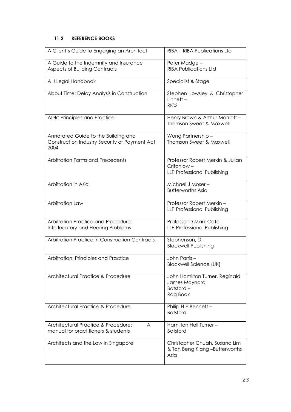## **11.2 REFERENCE BOOKS**

| A Client's Guide to Engaging an Architect                                                    | RIBA - RIBA Publications Ltd                                                         |
|----------------------------------------------------------------------------------------------|--------------------------------------------------------------------------------------|
| A Guide to the Indemnity and Insurance<br><b>Aspects of Building Contracts</b>               | Peter Madge -<br><b>RIBA Publications Ltd</b>                                        |
| A J Legal Handbook                                                                           | Specialist & Stage                                                                   |
| About Time: Delay Analysis in Construction                                                   | Stephen Lowsley & Christopher<br>$Linnett -$<br><b>RICS</b>                          |
| <b>ADR: Principles and Practice</b>                                                          | Henry Brown & Arthur Marriott -<br><b>Thomson Sweet &amp; Maxwell</b>                |
| Annotated Guide to the Building and<br>Construction Industry Security of Payment Act<br>2004 | Wong Partnership -<br><b>Thomson Sweet &amp; Maxwell</b>                             |
| Arbitration Forms and Precedents                                                             | Professor Robert Merkin & Julian<br>Critchlow-<br><b>LLP Professional Publishing</b> |
| Arbitration in Asia                                                                          | Michael J Moser-<br><b>Butterworths Asia</b>                                         |
| Arbitration Law                                                                              | Professor Robert Merkin-<br><b>LLP Professional Publishing</b>                       |
| Arbitration Practice and Procedure:<br>Interlocutory and Hearing Problems                    | Professor D Mark Cato -<br>LLP Professional Publishing                               |
| Arbitration Practice in Construction Contracts                                               | Stephenson, D-<br><b>Blackwell Publishing</b>                                        |
| Arbitration: Principles and Practice                                                         | John Parris-<br><b>Blackwell Science (UK)</b>                                        |
| Architectural Practice & Procedure                                                           | John Hamilton Turner, Reginald<br>James Maynard<br>Batsford-<br>Rag Book             |
| Architectural Practice & Procedure                                                           | Philip H P Bennett -<br><b>Batsford</b>                                              |
| Architectural Practice & Procedure:<br>A<br>manual for practitioners & students              | Hamilton Hall Turner -<br><b>Batsford</b>                                            |
| Architects and the Law in Singapore                                                          | Christopher Chuah, Susana Lim<br>& Tan Beng Kiang -Butterworths<br>Asia              |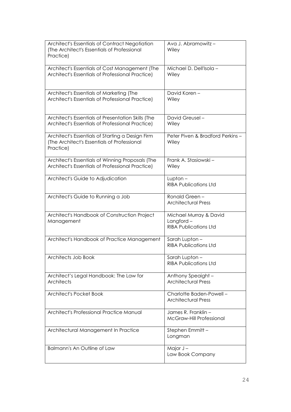| Architect's Essentials of Contract Negotiation<br>(The Architect's Essentials of Professional<br>Practice)   | Ava J. Abramowitz-<br>Wiley                                         |
|--------------------------------------------------------------------------------------------------------------|---------------------------------------------------------------------|
| Architect's Essentials of Cost Management (The<br>Architect's Essentials of Professional Practice)           | Michael D. Dell'Isola -<br>Wiley                                    |
| Architect's Essentials of Marketing (The<br>Architect's Essentials of Professional Practice)                 | David Koren-<br>Wiley                                               |
| Architect's Essentials of Presentation Skills (The<br>Architect's Essentials of Professional Practice)       | David Greusel-<br>Wiley                                             |
| Architect's Essentials of Starting a Design Firm<br>(The Architect's Essentials of Professional<br>Practice) | Peter Piven & Bradford Perkins -<br>Wiley                           |
| Architect's Essentials of Winning Proposals (The<br>Architect's Essentials of Professional Practice)         | Frank A. Stasiowski -<br>Wiley                                      |
| Architect's Guide to Adjudication                                                                            | Lupton $-$<br><b>RIBA Publications Ltd</b>                          |
| Architect's Guide to Running a Job                                                                           | Ronald Green-<br><b>Architectural Press</b>                         |
| Architect's Handbook of Construction Project<br>Management                                                   | Michael Murray & David<br>Langford-<br><b>RIBA Publications Ltd</b> |
| Architect's Handbook of Practice Management                                                                  | Sarah Lupton-<br><b>RIBA Publications Ltd</b>                       |
| Architects Job Book                                                                                          | Sarah Lupton-<br><b>RIBA Publications Ltd</b>                       |
| Architect's Legal Handbook: The Law for<br>Architects                                                        | Anthony Speaight -<br><b>Architectural Press</b>                    |
| <b>Architect's Pocket Book</b>                                                                               | Charlotte Baden-Powell -<br><b>Architectural Press</b>              |
| Architect's Professional Practice Manual                                                                     | James R. Franklin -<br>McGraw-Hill Professional                     |
| Architectural Management In Practice                                                                         | Stephen Emmitt-<br>Longman                                          |
| <b>Balmann's An Outline of Law</b>                                                                           | Major J-<br>Law Book Company                                        |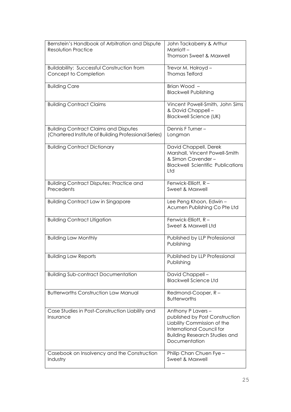| Bernstein's Handbook of Arbitration and Dispute<br><b>Resolution Practice</b>                         | John Tackaberry & Arthur<br>Marriott-<br><b>Thomson Sweet &amp; Maxwell</b>                                                                                               |
|-------------------------------------------------------------------------------------------------------|---------------------------------------------------------------------------------------------------------------------------------------------------------------------------|
| <b>Buildability: Successful Construction from</b><br>Concept to Completion                            | Trevor M. Holroyd -<br><b>Thomas Telford</b>                                                                                                                              |
| <b>Building Care</b>                                                                                  | Brian Wood -<br><b>Blackwell Publishing</b>                                                                                                                               |
| <b>Building Contract Claims</b>                                                                       | Vincent Powell-Smith, John Sims<br>& David Chappell -<br><b>Blackwell Science (UK)</b>                                                                                    |
| <b>Building Contract Claims and Disputes</b><br>(Chartered Institute of Building Professional Series) | Dennis F Turner -<br>Longman                                                                                                                                              |
| <b>Building Contract Dictionary</b>                                                                   | David Chappell, Derek<br>Marshall, Vincent Powell-Smith<br>& Simon Cavender-<br><b>Blackwell Scientific Publications</b><br>Ltd                                           |
| <b>Building Contract Disputes: Practice and</b><br>Precedents                                         | Fenwick-Elliott, R -<br>Sweet & Maxwell                                                                                                                                   |
| <b>Building Contract Law in Singapore</b>                                                             | Lee Peng Khoon, Edwin -<br>Acumen Publishing Co Pte Ltd                                                                                                                   |
| <b>Building Contract Litigation</b>                                                                   | Fenwick-Elliott, R -<br>Sweet & Maxwell Ltd                                                                                                                               |
| <b>Building Law Monthly</b>                                                                           | Published by LLP Professional<br>Publishing                                                                                                                               |
| <b>Building Law Reports</b>                                                                           | Published by LLP Professional<br>Publishing                                                                                                                               |
| <b>Building Sub-contract Documentation</b>                                                            | David Chappell-<br><b>Blackwell Science Ltd</b>                                                                                                                           |
| <b>Butterworths Construction Law Manual</b>                                                           | Redmond-Cooper, R-<br><b>Butterworths</b>                                                                                                                                 |
| Case Studies in Post-Construction Liability and<br>Insurance                                          | Anthony P Lavers -<br>published by Post Construction<br>Liability Commission of the<br>International Council for<br><b>Building Research Studies and</b><br>Documentation |
| Casebook on Insolvency and the Construction<br>Industry                                               | Philip Chan Chuen Fye -<br>Sweet & Maxwell                                                                                                                                |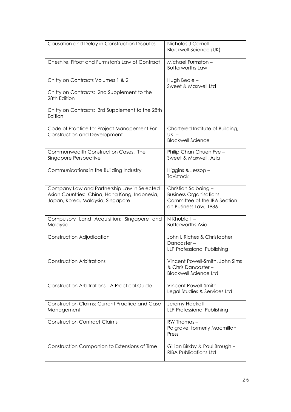| Causation and Delay in Construction Disputes                                                                                      | Nicholas J Carnell -<br><b>Blackwell Science (UK)</b>                                                          |
|-----------------------------------------------------------------------------------------------------------------------------------|----------------------------------------------------------------------------------------------------------------|
| Cheshire, Fifoot and Furmston's Law of Contract                                                                                   | Michael Furmston-<br><b>Butterworths Law</b>                                                                   |
| Chitty on Contracts Volumes 1 & 2                                                                                                 | Hugh Beale -<br>Sweet & Maxwell Ltd                                                                            |
| Chitty on Contracts: 2nd Supplement to the<br>28th Edition                                                                        |                                                                                                                |
| Chitty on Contracts: 3rd Supplement to the 28th<br>Edition                                                                        |                                                                                                                |
| Code of Practice for Project Management For<br>Construction and Development                                                       | Chartered Institute of Building,<br>$UK -$<br><b>Blackwell Science</b>                                         |
| <b>Commonwealth Construction Cases: The</b><br>Singapore Perspective                                                              | Philip Chan Chuen Fye -<br>Sweet & Maxwell, Asia                                                               |
| Communications in the Building Industry                                                                                           | Higgins & Jessop-<br>Tavistock                                                                                 |
| Company Law and Partnership Law in Selected<br>Asian Countries: China, Hong Kong, Indonesia,<br>Japan, Korea, Malaysia, Singapore | Christian Salbaing -<br><b>Business Organisations</b><br>Committee of the IBA Section<br>on Business Law, 1986 |
| Compulsory Land Acquisition: Singapore and<br>Malaysia                                                                            | N Khublall -<br><b>Butterworths Asia</b>                                                                       |
| Construction Adjudication                                                                                                         | John L Riches & Christopher<br>Dancaster-<br><b>LLP Professional Publishing</b>                                |
| <b>Construction Arbitrations</b>                                                                                                  | Vincent Powell-Smith, John Sims<br>& Chris Dancaster -<br><b>Blackwell Science Ltd</b>                         |
| <b>Construction Arbitrations - A Practical Guide</b>                                                                              | Vincent Powell-Smith -<br>Legal Studies & Services Ltd                                                         |
| <b>Construction Claims: Current Practice and Case</b><br>Management                                                               | Jeremy Hackett -<br>LLP Professional Publishing                                                                |
| <b>Construction Contract Claims</b>                                                                                               | RW Thomas -<br>Palgrave, formerly Macmillan<br>Press                                                           |
| Construction Companion to Extensions of Time                                                                                      | Gillian Birkby & Paul Brough -<br><b>RIBA Publications Ltd</b>                                                 |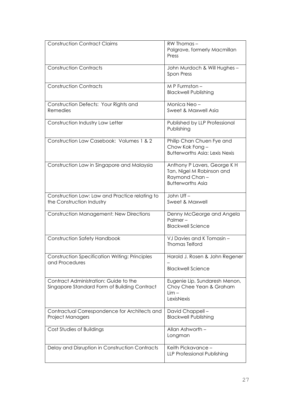| <b>Construction Contract Claims</b>                                                   | RW Thomas-<br>Palgrave, formerly Macmillan<br>Press                                                    |
|---------------------------------------------------------------------------------------|--------------------------------------------------------------------------------------------------------|
| <b>Construction Contracts</b>                                                         | John Murdoch & Will Hughes -<br>Spon Press                                                             |
| <b>Construction Contracts</b>                                                         | $M$ P Furmston $-$<br><b>Blackwell Publishing</b>                                                      |
| Construction Defects: Your Rights and<br>Remedies                                     | Monica Neo-<br>Sweet & Maxwell Asia                                                                    |
| Construction Industry Law Letter                                                      | Published by LLP Professional<br>Publishing                                                            |
| Construction Law Casebook: Volumes 1 & 2                                              | Philip Chan Chuen Fye and<br>Chow Kok Fong-<br><b>Butterworths Asia: Lexis Nexis</b>                   |
| Construction Law in Singapore and Malaysia                                            | Anthony P Lavers, George K H<br>Tan, Nigel M Robinson and<br>Raymond Chan-<br><b>Butterworths Asia</b> |
| Construction Law: Law and Practice relating to<br>the Construction Industry           | John Uff-<br>Sweet & Maxwell                                                                           |
| <b>Construction Management: New Directions</b>                                        | Denny McGeorge and Angela<br>Palmer-<br><b>Blackwell Science</b>                                       |
| <b>Construction Safety Handbook</b>                                                   | VJ Davies and K Tomasin -<br><b>Thomas Telford</b>                                                     |
| <b>Construction Specification Writing: Principles</b><br>and Procedures               | Harold J. Rosen & John Regener<br><b>Blackwell Science</b>                                             |
| Contract Administration: Guide to the<br>Singapore Standard Form of Building Contract | Eugenie Lip, Sundaresh Menon,<br>Choy Chee Yean & Graham<br>$Lim -$<br>LexisNexis                      |
| Contractual Correspondence for Architects and<br>Project Managers                     | David Chappell-<br><b>Blackwell Publishing</b>                                                         |
| Cost Studies of Buildings                                                             | Allan Ashworth -<br>Longman                                                                            |
| Delay and Disruption in Construction Contracts                                        | Keith Pickavance -<br><b>LLP Professional Publishing</b>                                               |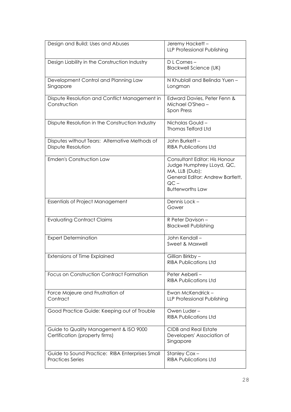| Design and Build: Uses and Abuses                                          | Jeremy Hackett-<br>LLP Professional Publishing                                                                                                        |
|----------------------------------------------------------------------------|-------------------------------------------------------------------------------------------------------------------------------------------------------|
| Design Liability in the Construction Industry                              | D L Cornes -<br><b>Blackwell Science (UK)</b>                                                                                                         |
| Development Control and Planning Law<br>Singapore                          | N Khublall and Belinda Yuen -<br>Longman                                                                                                              |
| Dispute Resolution and Conflict Management in<br>Construction              | Edward Davies, Peter Fenn &<br>Michael O'Shea -<br>Spon Press                                                                                         |
| Dispute Resolution in the Construction Industry                            | Nicholas Gould -<br><b>Thomas Telford Ltd</b>                                                                                                         |
| Disputes without Tears: Alternative Methods of<br>Dispute Resolution       | John Burkett-<br><b>RIBA Publications Ltd</b>                                                                                                         |
| <b>Emden's Construction Law</b>                                            | Consultant Editor: His Honour<br>Judge Humphrey LLoyd, QC,<br>MA, LLB (Dub);<br>General Editor: Andrew Bartlett,<br>$QC -$<br><b>Butterworths Law</b> |
| <b>Essentials of Project Management</b>                                    | Dennis Lock -<br>Gower                                                                                                                                |
| <b>Evaluating Contract Claims</b>                                          | R Peter Davison -<br><b>Blackwell Publishing</b>                                                                                                      |
| <b>Expert Determination</b>                                                | John Kendall-<br>Sweet & Maxwell                                                                                                                      |
| <b>Extensions of Time Explained</b>                                        | Gillian Birkby -<br><b>RIBA Publications Ltd</b>                                                                                                      |
| Focus on Construction Contract Formation                                   | Peter Aeberli-<br><b>RIBA Publications Ltd</b>                                                                                                        |
| Force Majeure and Frustration of<br>Contract                               | Ewan McKendrick-<br>LLP Professional Publishing                                                                                                       |
| Good Practice Guide: Keeping out of Trouble                                | Owen Luder-<br><b>RIBA Publications Ltd</b>                                                                                                           |
| Guide to Quality Management & ISO 9000<br>Certification (property firms)   | <b>CIDB</b> and Real Estate<br>Developers' Association of<br>Singapore                                                                                |
| Guide to Sound Practice: RIBA Enterprises Small<br><b>Practices Series</b> | Stanley Cox-<br><b>RIBA Publications Ltd</b>                                                                                                          |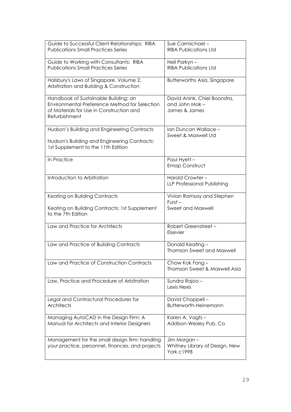| Guide to Successful Client Relationships: RIBA<br><b>Publications Small Practices Series</b>                                                       | Sue Carmichael-<br><b>RIBA Publications Ltd</b>                     |
|----------------------------------------------------------------------------------------------------------------------------------------------------|---------------------------------------------------------------------|
| Guide to Working with Consultants: RIBA<br><b>Publications Small Practices Series</b>                                                              | Neil Parkyn-<br><b>RIBA Publications Ltd</b>                        |
| Halsbury's Laws of Singapore, Volume 2,<br>Arbitration and Building & Construction                                                                 | <b>Butterworths Asia, Singapore</b>                                 |
| Handbook of Sustainable Building: an<br>Environmental Preference Method for Selection<br>of Materials for Use in Construction and<br>Refurbishment | David Anink, Chiel Boonstra,<br>and John Mak $-$<br>James & James   |
| Hudson's Building and Engineering Contracts<br>Hudson's Building and Engineering Contracts:<br>1st Supplement to the 11th Edition                  | Ian Duncan Wallace -<br>Sweet & Maxwell Ltd                         |
| In Practice                                                                                                                                        | Paul Hyett-<br><b>Emap Construct</b>                                |
| Introduction to Arbitration                                                                                                                        | Harold Crowter -<br>LLP Professional Publishing                     |
| <b>Keating on Building Contracts</b><br>Keating on Building Contracts: 1st Supplement<br>to the 7th Edition                                        | Vivian Ramsay and Stephen<br>$Furst -$<br><b>Sweet and Maxwell</b>  |
| Law and Practice for Architects                                                                                                                    | Robert Greenstreet -<br>Elsevier                                    |
| Law and Practice of Building Contracts                                                                                                             | Donald Keating -<br><b>Thomson Sweet and Maxwell</b>                |
| Law and Practice of Construction Contracts                                                                                                         | Chow Kok Fong -<br>Thomson Sweet & Maxwell Asia                     |
| Law, Practice and Procedure of Arbitration                                                                                                         | Sundra Rajoo -<br>Lexis Nexis                                       |
| Legal and Contractural Procedures for<br>Architects                                                                                                | David Chappell-<br>Butterworth-Heinemann                            |
| Managing AutoCAD in the Design Firm: A<br>Manual for Architects and Interior Designers                                                             | Karen A. Vagts-<br>Addison-Wesley Pub. Co                           |
| Management for the small design firm: handling<br>your practice, personnel, finances, and projects                                                 | Jim Morgan -<br>Whitney Library of Design, New<br><b>York c1998</b> |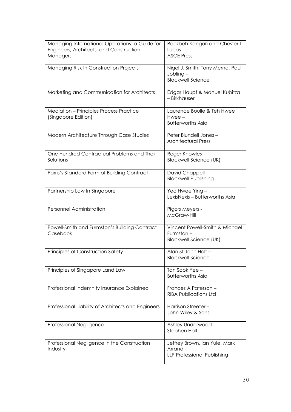| Managing International Operations: a Guide for<br>Engineers, Architects, and Construction<br>Managers | Roozbeh Kangari and Chester L<br>$Lucas -$<br><b>ASCE Press</b>                |
|-------------------------------------------------------------------------------------------------------|--------------------------------------------------------------------------------|
| Managing Risk In Construction Projects                                                                | Nigel J. Smith, Tony Merna, Paul<br>Jobling -<br><b>Blackwell Science</b>      |
| Marketing and Communication for Architects                                                            | Edgar Haupt & Manuel Kubitza<br>- Birkhauser                                   |
| <b>Mediation - Principles Process Practice</b><br>(Singapore Edition)                                 | Laurence Boulle & Teh Hwee<br>$Hwee -$<br><b>Butterworths Asia</b>             |
| Modern Architecture Through Case Studies                                                              | Peter Blundell Jones -<br><b>Architectural Press</b>                           |
| One Hundred Contractual Problems and Their<br>Solutions                                               | Roger Knowles-<br><b>Blackwell Science (UK)</b>                                |
| Parris's Standard Form of Building Contract                                                           | David Chappell-<br><b>Blackwell Publishing</b>                                 |
| Partnership Law In Singapore                                                                          | Yeo Hwee Ying -<br>LexisNexis - Butterworths Asia                              |
| Personnel Administration                                                                              | Pigors Meyers -<br>McGraw-Hill                                                 |
| Powell-Smith and Furmston's Building Contract<br>Casebook                                             | Vincent Powell-Smith & Michael<br>Furmston-<br><b>Blackwell Science (UK)</b>   |
| Principles of Construction Safety                                                                     | Alan St John Holt -<br><b>Blackwell Science</b>                                |
| Principles of Singapore Land Law                                                                      | Tan Sook Yee -<br><b>Butterworths Asia</b>                                     |
| Professional Indemnity Insurance Explained                                                            | Frances A Paterson -<br><b>RIBA Publications Ltd</b>                           |
| Professional Liability of Architects and Engineers                                                    | Harrison Streeter-<br>John Wiley & Sons                                        |
| Professional Negligence                                                                               | Ashley Underwood -<br>Stephen Holt                                             |
| Professional Negligence in the Construction<br>Industry                                               | Jeffrey Brown, Ian Yule, Mark<br>Arrand-<br><b>LLP Professional Publishing</b> |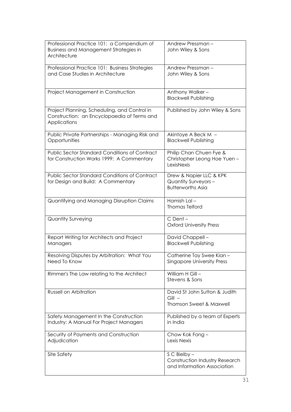| Professional Practice 101: a Compendium of<br><b>Business and Management Strategies in</b><br>Architecture  | Andrew Pressman -<br>John Wiley & Sons                                                |
|-------------------------------------------------------------------------------------------------------------|---------------------------------------------------------------------------------------|
| Professional Practice 101: Business Strategies<br>and Case Studies in Architecture                          | Andrew Pressman -<br>John Wiley & Sons                                                |
| Project Management in Construction                                                                          | Anthony Walker-<br><b>Blackwell Publishing</b>                                        |
| Project Planning, Scheduling, and Control in<br>Construction: an Encyclopaedia of Terms and<br>Applications | Published by John Wiley & Sons                                                        |
| Public Private Partnerships - Managing Risk and<br>Opportunities                                            | Akintoye A Beck M -<br><b>Blackwell Publishing</b>                                    |
| <b>Public Sector Standard Conditions of Contract</b><br>for Construction Works 1999: A Commentary           | Philip Chan Chuen Fye &<br>Christopher Leong Hoe Yuen -<br>LexisNexis                 |
| <b>Public Sector Standard Conditions of Contract</b><br>for Design and Build: A Commentary                  | Drew & Napier LLC & KPK<br>Quantity Surveyors -<br><b>Butterworths Asia</b>           |
| Quantifying and Managing Disruption Claims                                                                  | Hamish Lal-<br><b>Thomas Telford</b>                                                  |
| <b>Quantity Surveying</b>                                                                                   | $C$ Dent $-$<br><b>Oxford University Press</b>                                        |
| Report Writing for Architects and Project<br>Managers                                                       | David Chappell-<br><b>Blackwell Publishing</b>                                        |
| Resolving Disputes by Arbitration: What You<br>Need To Know                                                 | Catherine Tay Swee Kian -<br><b>Singapore University Press</b>                        |
| Rimmer's The Law relating to the Architect                                                                  | William H Gill -<br>Stevens & Sons                                                    |
| Russell on Arbitration                                                                                      | David St John Sutton & Judith<br>$Gill -$<br><b>Thomson Sweet &amp; Maxwell</b>       |
| Safety Management In the Construction<br>Industry: A Manual For Project Managers                            | Published by a team of Experts<br>in India                                            |
| Security of Payments and Construction<br>Adjudication                                                       | Chow Kok Fong-<br>Lexis Nexis                                                         |
| Site Safety                                                                                                 | $S \subset$ Bielby –<br>Construction Industry Research<br>and Information Association |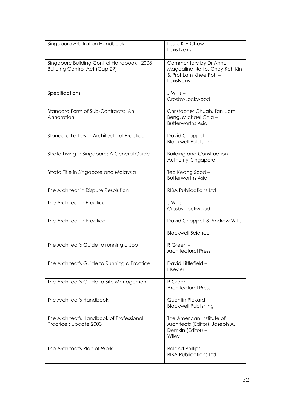| Singapore Arbitration Handbook                                                     | Leslie K H Chew -<br>Lexis Nexis                                                              |
|------------------------------------------------------------------------------------|-----------------------------------------------------------------------------------------------|
| Singapore Building Control Handbook - 2003<br><b>Building Control Act (Cap 29)</b> | Commentary by Dr Anne<br>Magdaline Netto, Choy Kah Kin<br>& Prof Lam Khee Poh -<br>LexisNexis |
| Specifications                                                                     | J Willis -<br>Crosby-Lockwood                                                                 |
| Standard Form of Sub-Contracts: An<br>Annotation                                   | Christopher Chuah, Tan Liam<br>Beng, Michael Chia -<br><b>Butterworths Asia</b>               |
| Standard Letters in Architectural Practice                                         | David Chappell-<br><b>Blackwell Publishing</b>                                                |
| Strata Living in Singapore: A General Guide                                        | <b>Building and Construction</b><br>Authority, Singapore                                      |
| Strata Title in Singapore and Malaysia                                             | Teo Keang Sood -<br><b>Butterworths Asia</b>                                                  |
| The Architect in Dispute Resolution                                                | <b>RIBA Publications Ltd</b>                                                                  |
| The Architect in Practice                                                          | J Willis -<br>Crosby-Lockwood                                                                 |
| The Architect in Practice                                                          | David Chappell & Andrew Willis<br><b>Blackwell Science</b>                                    |
| The Architect's Guide to running a Job                                             | R Green-<br><b>Architectural Press</b>                                                        |
| The Architect's Guide to Running a Practice                                        | David Littlefield -<br>Elsevier                                                               |
| The Architect's Guide to Site Management                                           | R Green-<br><b>Architectural Press</b>                                                        |
| The Architect's Handbook                                                           | Quentin Pickard -<br><b>Blackwell Publishing</b>                                              |
| The Architect's Handbook of Professional<br>Practice: Update 2003                  | The American Institute of<br>Architects (Editor), Joseph A.<br>Demkin (Editor) -<br>Wiley     |
| The Architect's Plan of Work                                                       | Roland Phillips-<br><b>RIBA Publications Ltd</b>                                              |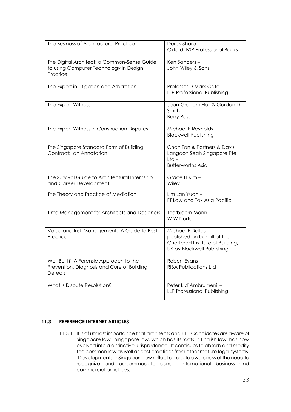| The Business of Architectural Practice                                                                 | Derek Sharp-<br>Oxford: BSP Professional Books                                                                    |
|--------------------------------------------------------------------------------------------------------|-------------------------------------------------------------------------------------------------------------------|
| The Digital Architect: a Common-Sense Guide<br>to using Computer Technology in Design<br>Practice      | Ken Sanders-<br>John Wiley & Sons                                                                                 |
| The Expert in Litigation and Arbitration                                                               | Professor D Mark Cato -<br><b>LLP Professional Publishing</b>                                                     |
| The Expert Witness                                                                                     | Jean Graham Hall & Gordon D<br>$Smith -$<br><b>Barry Rose</b>                                                     |
| The Expert Witness in Construction Disputes                                                            | Michael P Reynolds -<br><b>Blackwell Publishing</b>                                                               |
| The Singapore Standard Form of Building<br>Contract: an Annotation                                     | Chan Tan & Partners & Davis<br>Langdon Seah Singapore Pte<br>$Ltd -$<br><b>Butterworths Asia</b>                  |
| The Survival Guide to Architectural Internship<br>and Career Development                               | Grace H Kim -<br>Wiley                                                                                            |
| The Theory and Practice of Mediation                                                                   | Lim Lan Yuan -<br>FT Law and Tax Asia Pacific                                                                     |
| Time Management for Architects and Designers                                                           | Thorbjoern Mann-<br>W W Norton                                                                                    |
| Value and Risk Management: A Guide to Best<br>Practice                                                 | Michael F Dallas-<br>published on behalf of the<br>Chartered Institute of Building,<br>UK by Blackwell Publishing |
| Well Built? A Forensic Approach to the<br>Prevention, Diagnosis and Cure of Building<br><b>Defects</b> | Robert Evans –<br><b>RIBA Publications Ltd</b>                                                                    |
| What is Dispute Resolution?                                                                            | Peter L d'Ambrumenil-<br>LLP Professional Publishing                                                              |

## **11.3 REFERENCE INTERNET ARTICLES**

11.3.1 It is of utmost importance that architects and PPE Candidates are aware of Singapore law. Singapore law, which has its roots in English law, has now evolved into a distinctive jurisprudence. It continues to absorb and modify the common law as well as best practices from other mature legal systems. Developments in Singapore law reflect an acute awareness of the need to recognize and accommodate current international business and commercial practices.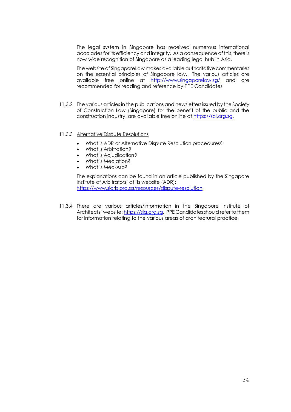The legal system in Singapore has received numerous international accolades for its efficiency and integrity. As a consequence of this, there is now wide recognition of Singapore as a leading legal hub in Asia.

The website of SingaporeLaw makes available authoritative commentaries on the essential principles of Singapore law. The various articles are available free online at <http://www.singaporelaw.sg/> and are recommended for reading and reference by PPE Candidates.

11.3.2 The various articles in the publications and newsletters issued by the Society of Construction Law (Singapore) for the benefit of the public and the construction industry, are available free online at [https://scl.org.sg.](https://scl.org.sg/)

#### 11.3.3 [Alternative Dispute Resolutions](http://admin.siarb.org.sg/ContentEditor/Editor/)

- [What is ADR or Alternative Dispute Resolution procedures?](http://www.siarb.org.sg/Web/#ADR1)
- [What is Arbitration?](http://www.siarb.org.sg/Web/#ADR2)
- [What is Adjudication?](http://www.siarb.org.sg/Web/#ADR3)
- [What is Mediation?](http://www.siarb.org.sg/Web/#ADR4)
- [What is Med-Arb?](http://www.siarb.org.sg/Web/#ADR5)

The explanations can be found in an article published by the Singapore Institute of Arbitrators' at its website (ADR): <https://www.siarb.org.sg/resources/dispute-resolution>

11.3.4 There are various articles/information in the Singapore Institute of Architects' website: [https://sia.org.sg.](https://sia.org.sg/) PPE Candidates should refer to them for information relating to the various areas of architectural practice.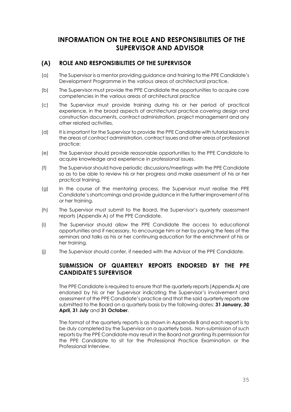# **INFORMATION ON THE ROLE AND RESPONSIBILITIES OF THE SUPERVISOR AND ADVISOR**

# **(A) ROLE AND RESPONSIBILITIES OF THE SUPERVISOR**

- (a) The Supervisor is a mentor providing guidance and training to the PPE Candidate's Development Programme in the various areas of architectural practice.
- (b) The Supervisor must provide the PPE Candidate the opportunities to acquire core competencies in the various areas of architectural practice
- (c) The Supervisor must provide training during his or her period of practical experience, in the broad aspects of architectural practice covering design and construction documents, contract administration, project management and any other related activities.
- (d) It is important for the Supervisor to provide the PPE Candidate with tutorial lessons in the areas of contract administration, contract issues and other areas of professional practice;
- (e) The Supervisor should provide reasonable opportunities to the PPE Candidate to acquire knowledge and experience in professional issues.
- (f) The Supervisor should have periodic discussions/meetings with the PPE Candidate so as to be able to review his or her progress and make assessment of his or her practical training.
- (g) In the course of the mentoring process, the Supervisor must realise the PPE Candidate's shortcomings and provide guidance in the further improvement of his or her training.
- (h) The Supervisor must submit to the Board, the Supervisor's quarterly assessment reports (Appendix A) of the PPE Candidate.
- (i) The Supervisor should allow the PPE Candidate the access to educational opportunities and if necessary, to encourage him or her by paying the fees of the seminars and talks as his or her continuing education for the enrichment of his or her training.
- (j) The Supervisor should confer, if needed with the Advisor of the PPE Candidate.

# **SUBMISSION OF QUARTERLY REPORTS ENDORSED BY THE PPE CANDIDATE'S SUPERVISOR**

The PPE Candidate is required to ensure that the quarterly reports (Appendix A) are endorsed by his or her Supervisor indicating the Supervisor's involvement and assessment of the PPE Candidate's practice and that the said quarterly reports are submitted to the Board on a quarterly basis by the following dates: **31 January, 30 April, 31 July** and **31 October**.

The format of the quarterly reports is as shown in Appendix B and each report is to be duly completed by the Supervisor on a quarterly basis. Non-submission of such reports by the PPE Candidate may result in the Board not granting its permission for the PPE Candidate to sit for the Professional Practice Examination or the Professional Interview.